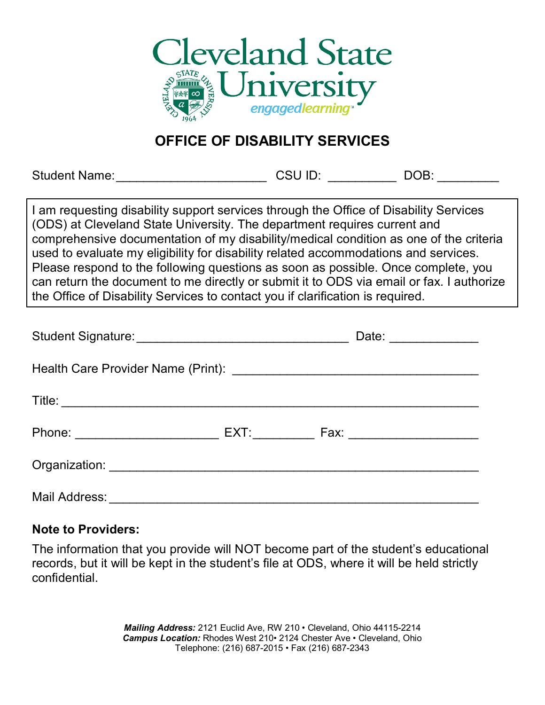

## **OFFICE OF DISABILITY SERVICES**

Student Name: etc. All and Student Name: the Student Name: the Student Student Student Student Student Student

I am requesting disability support services through the Office of Disability Services (ODS) at Cleveland State University. The department requires current and comprehensive documentation of my disability/medical condition as one of the criteria used to evaluate my eligibility for disability related accommodations and services. Please respond to the following questions as soon as possible. Once complete, you can return the document to me directly or submit it to ODS via email or fax. I authorize the Office of Disability Services to contact you if clarification is required.

|  | Date: _______________                                                             |  |
|--|-----------------------------------------------------------------------------------|--|
|  |                                                                                   |  |
|  |                                                                                   |  |
|  | Phone: _______________________________ EXT: _____________ Fax: __________________ |  |
|  |                                                                                   |  |
|  |                                                                                   |  |

## **Note to Providers:**

The information that you provide will NOT become part of the student's educational records, but it will be kept in the student's file at ODS, where it will be held strictly confidential.

> *Mailing Address:* 2121 Euclid Ave, RW 210 • Cleveland, Ohio 44115-2214 *Campus Location:* Rhodes West 210• 2124 Chester Ave • Cleveland, Ohio Telephone: (216) 687-2015 • Fax (216) 687-2343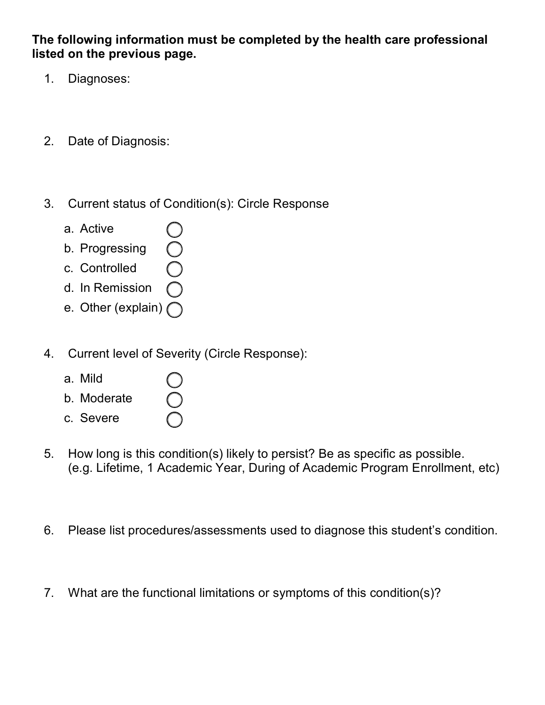**The following information must be completed by the health care professional listed on the previous page.** 

- 1. Diagnoses:
- 2. Date of Diagnosis:
- 3. Current status of Condition(s): Circle Response
	- a. Active
	- b. Progressing
	- c. Controlled
	- d. In Remission
	- e. Other (explain)
- 4. Current level of Severity (Circle Response):
	- a. Mild
	- b. Moderate
	- c. Severe
- 5. How long is this condition(s) likely to persist? Be as specific as possible. (e.g. Lifetime, 1 Academic Year, During of Academic Program Enrollment, etc)
- 6. Please list procedures/assessments used to diagnose this student's condition.
- 7. What are the functional limitations or symptoms of this condition(s)?